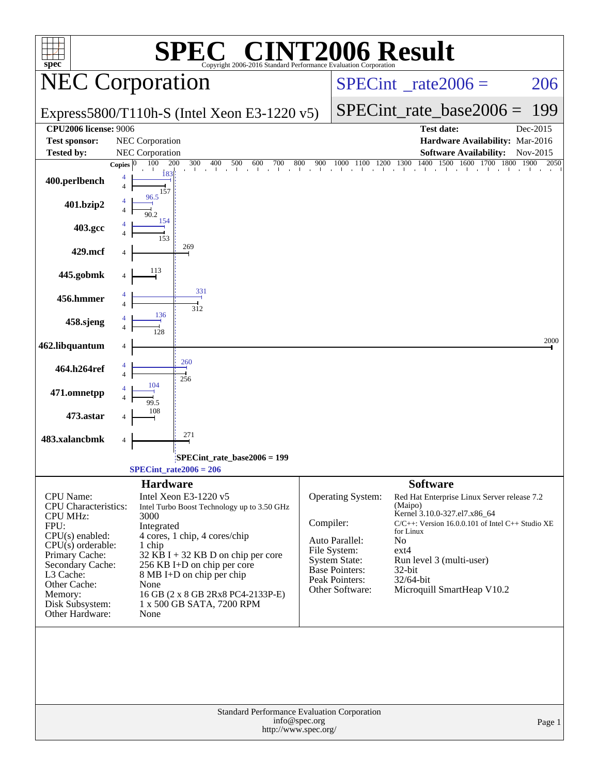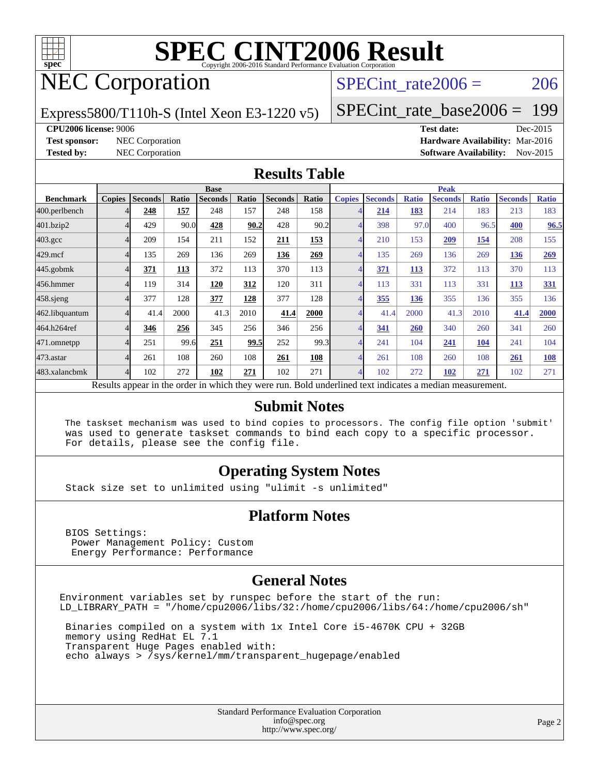

## NEC Corporation

SPECint rate $2006 = 206$ 

Express5800/T110h-S (Intel Xeon E3-1220 v5)

[SPECint\\_rate\\_base2006 =](http://www.spec.org/auto/cpu2006/Docs/result-fields.html#SPECintratebase2006) 199

**[CPU2006 license:](http://www.spec.org/auto/cpu2006/Docs/result-fields.html#CPU2006license)** 9006 **[Test date:](http://www.spec.org/auto/cpu2006/Docs/result-fields.html#Testdate)** Dec-2015

**[Test sponsor:](http://www.spec.org/auto/cpu2006/Docs/result-fields.html#Testsponsor)** NEC Corporation **[Hardware Availability:](http://www.spec.org/auto/cpu2006/Docs/result-fields.html#HardwareAvailability)** Mar-2016 **[Tested by:](http://www.spec.org/auto/cpu2006/Docs/result-fields.html#Testedby)** NEC Corporation **[Software Availability:](http://www.spec.org/auto/cpu2006/Docs/result-fields.html#SoftwareAvailability)** Nov-2015

#### **[Results Table](http://www.spec.org/auto/cpu2006/Docs/result-fields.html#ResultsTable)**

|                    | <b>Base</b>   |                |       |                |       |                |            | <b>Peak</b>   |                |              |                                                                                                          |              |                |              |
|--------------------|---------------|----------------|-------|----------------|-------|----------------|------------|---------------|----------------|--------------|----------------------------------------------------------------------------------------------------------|--------------|----------------|--------------|
| <b>Benchmark</b>   | <b>Copies</b> | <b>Seconds</b> | Ratio | <b>Seconds</b> | Ratio | <b>Seconds</b> | Ratio      | <b>Copies</b> | <b>Seconds</b> | <b>Ratio</b> | <b>Seconds</b>                                                                                           | <b>Ratio</b> | <b>Seconds</b> | <b>Ratio</b> |
| 400.perlbench      |               | 248            | 157   | 248            | 157   | 248            | 158        |               | 214            | 183          | 214                                                                                                      | 183          | 213            | 183          |
| 401.bzip2          |               | 429            | 90.0  | 428            | 90.2  | 428            | 90.2       |               | 398            | 97.0         | 400                                                                                                      | 96.5         | 400            | 96.5         |
| $403.\mathrm{gcc}$ |               | 209            | 154   | 211            | 152   | 211            | <u>153</u> | 4             | 210            | 153          | 209                                                                                                      | <u>154</u>   | 208            | 155          |
| $429$ .mcf         |               | 135            | 269   | 136            | 269   | 136            | 269        |               | 135            | 269          | 136                                                                                                      | 269          | 136            | 269          |
| $445$ .gobm $k$    |               | 371            | 113   | 372            | 113   | 370            | 113        |               | 371            | <b>113</b>   | 372                                                                                                      | 113          | 370            | 113          |
| 456.hmmer          |               | 119            | 314   | 120            | 312   | 120            | 311        |               | 113            | 331          | 113                                                                                                      | 331          | 113            | 331          |
| $458$ .sjeng       |               | 377            | 128   | 377            | 128   | 377            | 128        |               | 355            | 136          | 355                                                                                                      | 136          | 355            | 136          |
| 462.libquantum     |               | 41.4           | 2000  | 41.3           | 2010  | 41.4           | 2000       |               | 41.4           | 2000         | 41.3                                                                                                     | 2010         | 41.4           | 2000         |
| 464.h264ref        |               | 346            | 256   | 345            | 256   | 346            | 256        |               | 341            | 260          | 340                                                                                                      | 260          | 341            | 260          |
| 471.omnetpp        |               | 251            | 99.6  | 251            | 99.5  | 252            | 99.3       |               | 241            | 104          | 241                                                                                                      | 104          | 241            | 104          |
| $473$ . astar      |               | 261            | 108   | 260            | 108   | 261            | 108        |               | 261            | 108          | 260                                                                                                      | 108          | 261            | 108          |
| 483.xalancbmk      | Δ             | 102            | 272   | 102            | 271   | 102            | 271        | 4             | 102            | 272          | 102                                                                                                      | 271          | 102            | 271          |
|                    |               |                |       |                |       |                |            |               |                |              | Results appear in the order in which they were run. Bold underlined text indicates a median measurement. |              |                |              |

#### **[Submit Notes](http://www.spec.org/auto/cpu2006/Docs/result-fields.html#SubmitNotes)**

 The taskset mechanism was used to bind copies to processors. The config file option 'submit' was used to generate taskset commands to bind each copy to a specific processor. For details, please see the config file.

#### **[Operating System Notes](http://www.spec.org/auto/cpu2006/Docs/result-fields.html#OperatingSystemNotes)**

Stack size set to unlimited using "ulimit -s unlimited"

#### **[Platform Notes](http://www.spec.org/auto/cpu2006/Docs/result-fields.html#PlatformNotes)**

 BIOS Settings: Power Management Policy: Custom Energy Performance: Performance

#### **[General Notes](http://www.spec.org/auto/cpu2006/Docs/result-fields.html#GeneralNotes)**

Environment variables set by runspec before the start of the run: LD\_LIBRARY\_PATH = "/home/cpu2006/libs/32:/home/cpu2006/libs/64:/home/cpu2006/sh"

 Binaries compiled on a system with 1x Intel Core i5-4670K CPU + 32GB memory using RedHat EL 7.1 Transparent Huge Pages enabled with: echo always > /sys/kernel/mm/transparent\_hugepage/enabled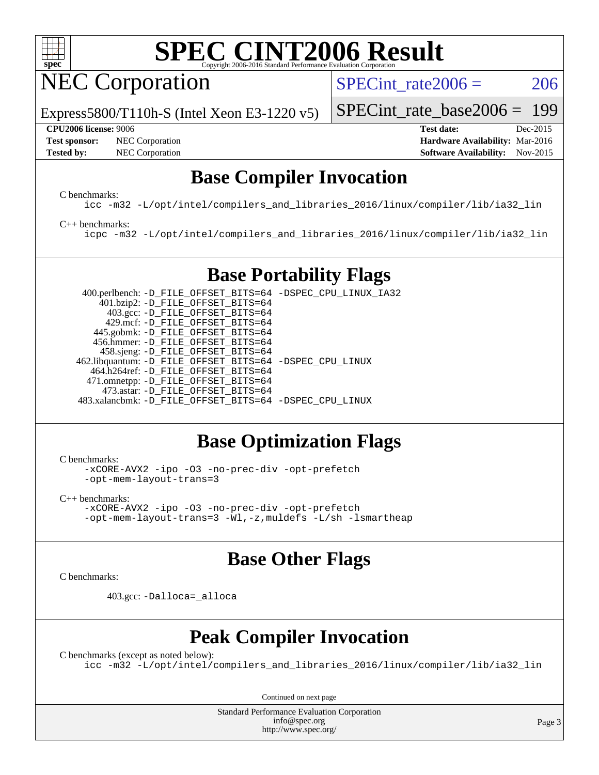

NEC Corporation

SPECint rate $2006 = 206$ 

[SPECint\\_rate\\_base2006 =](http://www.spec.org/auto/cpu2006/Docs/result-fields.html#SPECintratebase2006) 199

Express5800/T110h-S (Intel Xeon E3-1220 v5)

**[Test sponsor:](http://www.spec.org/auto/cpu2006/Docs/result-fields.html#Testsponsor)** NEC Corporation **NEC Corporation [Hardware Availability:](http://www.spec.org/auto/cpu2006/Docs/result-fields.html#HardwareAvailability)** Mar-2016

**[CPU2006 license:](http://www.spec.org/auto/cpu2006/Docs/result-fields.html#CPU2006license)** 9006 **[Test date:](http://www.spec.org/auto/cpu2006/Docs/result-fields.html#Testdate)** Dec-2015

# **[Tested by:](http://www.spec.org/auto/cpu2006/Docs/result-fields.html#Testedby)** NEC Corporation **[Software Availability:](http://www.spec.org/auto/cpu2006/Docs/result-fields.html#SoftwareAvailability)** Nov-2015

### **[Base Compiler Invocation](http://www.spec.org/auto/cpu2006/Docs/result-fields.html#BaseCompilerInvocation)**

[C benchmarks](http://www.spec.org/auto/cpu2006/Docs/result-fields.html#Cbenchmarks):

[icc -m32 -L/opt/intel/compilers\\_and\\_libraries\\_2016/linux/compiler/lib/ia32\\_lin](http://www.spec.org/cpu2006/results/res2016q1/cpu2006-20160125-38930.flags.html#user_CCbase_intel_icc_e10256ba5924b668798078a321b0cb3f)

#### [C++ benchmarks:](http://www.spec.org/auto/cpu2006/Docs/result-fields.html#CXXbenchmarks)

[icpc -m32 -L/opt/intel/compilers\\_and\\_libraries\\_2016/linux/compiler/lib/ia32\\_lin](http://www.spec.org/cpu2006/results/res2016q1/cpu2006-20160125-38930.flags.html#user_CXXbase_intel_icpc_b4f50a394bdb4597aa5879c16bc3f5c5)

### **[Base Portability Flags](http://www.spec.org/auto/cpu2006/Docs/result-fields.html#BasePortabilityFlags)**

 400.perlbench: [-D\\_FILE\\_OFFSET\\_BITS=64](http://www.spec.org/cpu2006/results/res2016q1/cpu2006-20160125-38930.flags.html#user_basePORTABILITY400_perlbench_file_offset_bits_64_438cf9856305ebd76870a2c6dc2689ab) [-DSPEC\\_CPU\\_LINUX\\_IA32](http://www.spec.org/cpu2006/results/res2016q1/cpu2006-20160125-38930.flags.html#b400.perlbench_baseCPORTABILITY_DSPEC_CPU_LINUX_IA32) 401.bzip2: [-D\\_FILE\\_OFFSET\\_BITS=64](http://www.spec.org/cpu2006/results/res2016q1/cpu2006-20160125-38930.flags.html#user_basePORTABILITY401_bzip2_file_offset_bits_64_438cf9856305ebd76870a2c6dc2689ab) 403.gcc: [-D\\_FILE\\_OFFSET\\_BITS=64](http://www.spec.org/cpu2006/results/res2016q1/cpu2006-20160125-38930.flags.html#user_basePORTABILITY403_gcc_file_offset_bits_64_438cf9856305ebd76870a2c6dc2689ab) 429.mcf: [-D\\_FILE\\_OFFSET\\_BITS=64](http://www.spec.org/cpu2006/results/res2016q1/cpu2006-20160125-38930.flags.html#user_basePORTABILITY429_mcf_file_offset_bits_64_438cf9856305ebd76870a2c6dc2689ab) 445.gobmk: [-D\\_FILE\\_OFFSET\\_BITS=64](http://www.spec.org/cpu2006/results/res2016q1/cpu2006-20160125-38930.flags.html#user_basePORTABILITY445_gobmk_file_offset_bits_64_438cf9856305ebd76870a2c6dc2689ab) 456.hmmer: [-D\\_FILE\\_OFFSET\\_BITS=64](http://www.spec.org/cpu2006/results/res2016q1/cpu2006-20160125-38930.flags.html#user_basePORTABILITY456_hmmer_file_offset_bits_64_438cf9856305ebd76870a2c6dc2689ab) 458.sjeng: [-D\\_FILE\\_OFFSET\\_BITS=64](http://www.spec.org/cpu2006/results/res2016q1/cpu2006-20160125-38930.flags.html#user_basePORTABILITY458_sjeng_file_offset_bits_64_438cf9856305ebd76870a2c6dc2689ab) 462.libquantum: [-D\\_FILE\\_OFFSET\\_BITS=64](http://www.spec.org/cpu2006/results/res2016q1/cpu2006-20160125-38930.flags.html#user_basePORTABILITY462_libquantum_file_offset_bits_64_438cf9856305ebd76870a2c6dc2689ab) [-DSPEC\\_CPU\\_LINUX](http://www.spec.org/cpu2006/results/res2016q1/cpu2006-20160125-38930.flags.html#b462.libquantum_baseCPORTABILITY_DSPEC_CPU_LINUX) 464.h264ref: [-D\\_FILE\\_OFFSET\\_BITS=64](http://www.spec.org/cpu2006/results/res2016q1/cpu2006-20160125-38930.flags.html#user_basePORTABILITY464_h264ref_file_offset_bits_64_438cf9856305ebd76870a2c6dc2689ab) 471.omnetpp: [-D\\_FILE\\_OFFSET\\_BITS=64](http://www.spec.org/cpu2006/results/res2016q1/cpu2006-20160125-38930.flags.html#user_basePORTABILITY471_omnetpp_file_offset_bits_64_438cf9856305ebd76870a2c6dc2689ab) 473.astar: [-D\\_FILE\\_OFFSET\\_BITS=64](http://www.spec.org/cpu2006/results/res2016q1/cpu2006-20160125-38930.flags.html#user_basePORTABILITY473_astar_file_offset_bits_64_438cf9856305ebd76870a2c6dc2689ab) 483.xalancbmk: [-D\\_FILE\\_OFFSET\\_BITS=64](http://www.spec.org/cpu2006/results/res2016q1/cpu2006-20160125-38930.flags.html#user_basePORTABILITY483_xalancbmk_file_offset_bits_64_438cf9856305ebd76870a2c6dc2689ab) [-DSPEC\\_CPU\\_LINUX](http://www.spec.org/cpu2006/results/res2016q1/cpu2006-20160125-38930.flags.html#b483.xalancbmk_baseCXXPORTABILITY_DSPEC_CPU_LINUX)

### **[Base Optimization Flags](http://www.spec.org/auto/cpu2006/Docs/result-fields.html#BaseOptimizationFlags)**

[C benchmarks](http://www.spec.org/auto/cpu2006/Docs/result-fields.html#Cbenchmarks):

[-xCORE-AVX2](http://www.spec.org/cpu2006/results/res2016q1/cpu2006-20160125-38930.flags.html#user_CCbase_f-xAVX2_5f5fc0cbe2c9f62c816d3e45806c70d7) [-ipo](http://www.spec.org/cpu2006/results/res2016q1/cpu2006-20160125-38930.flags.html#user_CCbase_f-ipo) [-O3](http://www.spec.org/cpu2006/results/res2016q1/cpu2006-20160125-38930.flags.html#user_CCbase_f-O3) [-no-prec-div](http://www.spec.org/cpu2006/results/res2016q1/cpu2006-20160125-38930.flags.html#user_CCbase_f-no-prec-div) [-opt-prefetch](http://www.spec.org/cpu2006/results/res2016q1/cpu2006-20160125-38930.flags.html#user_CCbase_f-opt-prefetch) [-opt-mem-layout-trans=3](http://www.spec.org/cpu2006/results/res2016q1/cpu2006-20160125-38930.flags.html#user_CCbase_f-opt-mem-layout-trans_a7b82ad4bd7abf52556d4961a2ae94d5)

[C++ benchmarks:](http://www.spec.org/auto/cpu2006/Docs/result-fields.html#CXXbenchmarks) [-xCORE-AVX2](http://www.spec.org/cpu2006/results/res2016q1/cpu2006-20160125-38930.flags.html#user_CXXbase_f-xAVX2_5f5fc0cbe2c9f62c816d3e45806c70d7) [-ipo](http://www.spec.org/cpu2006/results/res2016q1/cpu2006-20160125-38930.flags.html#user_CXXbase_f-ipo) [-O3](http://www.spec.org/cpu2006/results/res2016q1/cpu2006-20160125-38930.flags.html#user_CXXbase_f-O3) [-no-prec-div](http://www.spec.org/cpu2006/results/res2016q1/cpu2006-20160125-38930.flags.html#user_CXXbase_f-no-prec-div) [-opt-prefetch](http://www.spec.org/cpu2006/results/res2016q1/cpu2006-20160125-38930.flags.html#user_CXXbase_f-opt-prefetch) [-opt-mem-layout-trans=3](http://www.spec.org/cpu2006/results/res2016q1/cpu2006-20160125-38930.flags.html#user_CXXbase_f-opt-mem-layout-trans_a7b82ad4bd7abf52556d4961a2ae94d5) [-Wl,-z,muldefs](http://www.spec.org/cpu2006/results/res2016q1/cpu2006-20160125-38930.flags.html#user_CXXbase_link_force_multiple1_74079c344b956b9658436fd1b6dd3a8a) [-L/sh -lsmartheap](http://www.spec.org/cpu2006/results/res2016q1/cpu2006-20160125-38930.flags.html#user_CXXbase_SmartHeap_32f6c82aa1ed9c52345d30cf6e4a0499)

#### **[Base Other Flags](http://www.spec.org/auto/cpu2006/Docs/result-fields.html#BaseOtherFlags)**

[C benchmarks](http://www.spec.org/auto/cpu2006/Docs/result-fields.html#Cbenchmarks):

403.gcc: [-Dalloca=\\_alloca](http://www.spec.org/cpu2006/results/res2016q1/cpu2006-20160125-38930.flags.html#b403.gcc_baseEXTRA_CFLAGS_Dalloca_be3056838c12de2578596ca5467af7f3)

#### **[Peak Compiler Invocation](http://www.spec.org/auto/cpu2006/Docs/result-fields.html#PeakCompilerInvocation)**

[C benchmarks \(except as noted below\)](http://www.spec.org/auto/cpu2006/Docs/result-fields.html#Cbenchmarksexceptasnotedbelow): [icc -m32 -L/opt/intel/compilers\\_and\\_libraries\\_2016/linux/compiler/lib/ia32\\_lin](http://www.spec.org/cpu2006/results/res2016q1/cpu2006-20160125-38930.flags.html#user_CCpeak_intel_icc_e10256ba5924b668798078a321b0cb3f)

Continued on next page

Standard Performance Evaluation Corporation [info@spec.org](mailto:info@spec.org) <http://www.spec.org/>

Page 3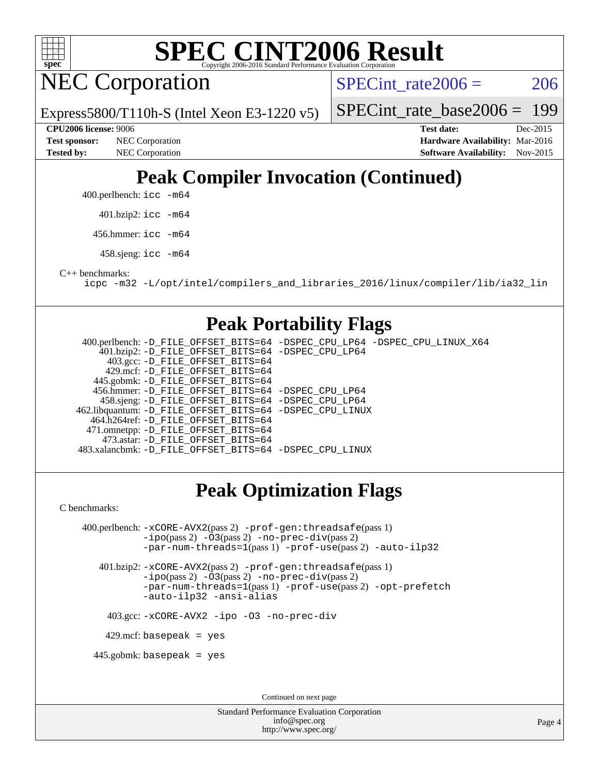

NEC Corporation

SPECint rate $2006 = 206$ 

Express5800/T110h-S (Intel Xeon E3-1220 v5)

[SPECint\\_rate\\_base2006 =](http://www.spec.org/auto/cpu2006/Docs/result-fields.html#SPECintratebase2006) 199

**[Tested by:](http://www.spec.org/auto/cpu2006/Docs/result-fields.html#Testedby)** NEC Corporation **[Software Availability:](http://www.spec.org/auto/cpu2006/Docs/result-fields.html#SoftwareAvailability)** Nov-2015

**[CPU2006 license:](http://www.spec.org/auto/cpu2006/Docs/result-fields.html#CPU2006license)** 9006 **[Test date:](http://www.spec.org/auto/cpu2006/Docs/result-fields.html#Testdate)** Dec-2015 **[Test sponsor:](http://www.spec.org/auto/cpu2006/Docs/result-fields.html#Testsponsor)** NEC Corporation **[Hardware Availability:](http://www.spec.org/auto/cpu2006/Docs/result-fields.html#HardwareAvailability)** Mar-2016

### **[Peak Compiler Invocation \(Continued\)](http://www.spec.org/auto/cpu2006/Docs/result-fields.html#PeakCompilerInvocation)**

400.perlbench: [icc -m64](http://www.spec.org/cpu2006/results/res2016q1/cpu2006-20160125-38930.flags.html#user_peakCCLD400_perlbench_intel_icc_64bit_bda6cc9af1fdbb0edc3795bac97ada53)

401.bzip2: [icc -m64](http://www.spec.org/cpu2006/results/res2016q1/cpu2006-20160125-38930.flags.html#user_peakCCLD401_bzip2_intel_icc_64bit_bda6cc9af1fdbb0edc3795bac97ada53)

456.hmmer: [icc -m64](http://www.spec.org/cpu2006/results/res2016q1/cpu2006-20160125-38930.flags.html#user_peakCCLD456_hmmer_intel_icc_64bit_bda6cc9af1fdbb0edc3795bac97ada53)

458.sjeng: [icc -m64](http://www.spec.org/cpu2006/results/res2016q1/cpu2006-20160125-38930.flags.html#user_peakCCLD458_sjeng_intel_icc_64bit_bda6cc9af1fdbb0edc3795bac97ada53)

[C++ benchmarks:](http://www.spec.org/auto/cpu2006/Docs/result-fields.html#CXXbenchmarks)

[icpc -m32 -L/opt/intel/compilers\\_and\\_libraries\\_2016/linux/compiler/lib/ia32\\_lin](http://www.spec.org/cpu2006/results/res2016q1/cpu2006-20160125-38930.flags.html#user_CXXpeak_intel_icpc_b4f50a394bdb4597aa5879c16bc3f5c5)

#### **[Peak Portability Flags](http://www.spec.org/auto/cpu2006/Docs/result-fields.html#PeakPortabilityFlags)**

 400.perlbench: [-D\\_FILE\\_OFFSET\\_BITS=64](http://www.spec.org/cpu2006/results/res2016q1/cpu2006-20160125-38930.flags.html#user_peakPORTABILITY400_perlbench_file_offset_bits_64_438cf9856305ebd76870a2c6dc2689ab) [-DSPEC\\_CPU\\_LP64](http://www.spec.org/cpu2006/results/res2016q1/cpu2006-20160125-38930.flags.html#b400.perlbench_peakCPORTABILITY_DSPEC_CPU_LP64) [-DSPEC\\_CPU\\_LINUX\\_X64](http://www.spec.org/cpu2006/results/res2016q1/cpu2006-20160125-38930.flags.html#b400.perlbench_peakCPORTABILITY_DSPEC_CPU_LINUX_X64) 401.bzip2: [-D\\_FILE\\_OFFSET\\_BITS=64](http://www.spec.org/cpu2006/results/res2016q1/cpu2006-20160125-38930.flags.html#user_peakPORTABILITY401_bzip2_file_offset_bits_64_438cf9856305ebd76870a2c6dc2689ab) [-DSPEC\\_CPU\\_LP64](http://www.spec.org/cpu2006/results/res2016q1/cpu2006-20160125-38930.flags.html#suite_peakCPORTABILITY401_bzip2_DSPEC_CPU_LP64) 403.gcc: [-D\\_FILE\\_OFFSET\\_BITS=64](http://www.spec.org/cpu2006/results/res2016q1/cpu2006-20160125-38930.flags.html#user_peakPORTABILITY403_gcc_file_offset_bits_64_438cf9856305ebd76870a2c6dc2689ab) 429.mcf: [-D\\_FILE\\_OFFSET\\_BITS=64](http://www.spec.org/cpu2006/results/res2016q1/cpu2006-20160125-38930.flags.html#user_peakPORTABILITY429_mcf_file_offset_bits_64_438cf9856305ebd76870a2c6dc2689ab) 445.gobmk: [-D\\_FILE\\_OFFSET\\_BITS=64](http://www.spec.org/cpu2006/results/res2016q1/cpu2006-20160125-38930.flags.html#user_peakPORTABILITY445_gobmk_file_offset_bits_64_438cf9856305ebd76870a2c6dc2689ab) 456.hmmer: [-D\\_FILE\\_OFFSET\\_BITS=64](http://www.spec.org/cpu2006/results/res2016q1/cpu2006-20160125-38930.flags.html#user_peakPORTABILITY456_hmmer_file_offset_bits_64_438cf9856305ebd76870a2c6dc2689ab) [-DSPEC\\_CPU\\_LP64](http://www.spec.org/cpu2006/results/res2016q1/cpu2006-20160125-38930.flags.html#suite_peakCPORTABILITY456_hmmer_DSPEC_CPU_LP64) 458.sjeng: [-D\\_FILE\\_OFFSET\\_BITS=64](http://www.spec.org/cpu2006/results/res2016q1/cpu2006-20160125-38930.flags.html#user_peakPORTABILITY458_sjeng_file_offset_bits_64_438cf9856305ebd76870a2c6dc2689ab) [-DSPEC\\_CPU\\_LP64](http://www.spec.org/cpu2006/results/res2016q1/cpu2006-20160125-38930.flags.html#suite_peakCPORTABILITY458_sjeng_DSPEC_CPU_LP64) 462.libquantum: [-D\\_FILE\\_OFFSET\\_BITS=64](http://www.spec.org/cpu2006/results/res2016q1/cpu2006-20160125-38930.flags.html#user_peakPORTABILITY462_libquantum_file_offset_bits_64_438cf9856305ebd76870a2c6dc2689ab) [-DSPEC\\_CPU\\_LINUX](http://www.spec.org/cpu2006/results/res2016q1/cpu2006-20160125-38930.flags.html#b462.libquantum_peakCPORTABILITY_DSPEC_CPU_LINUX) 464.h264ref: [-D\\_FILE\\_OFFSET\\_BITS=64](http://www.spec.org/cpu2006/results/res2016q1/cpu2006-20160125-38930.flags.html#user_peakPORTABILITY464_h264ref_file_offset_bits_64_438cf9856305ebd76870a2c6dc2689ab) 471.omnetpp: [-D\\_FILE\\_OFFSET\\_BITS=64](http://www.spec.org/cpu2006/results/res2016q1/cpu2006-20160125-38930.flags.html#user_peakPORTABILITY471_omnetpp_file_offset_bits_64_438cf9856305ebd76870a2c6dc2689ab) 473.astar: [-D\\_FILE\\_OFFSET\\_BITS=64](http://www.spec.org/cpu2006/results/res2016q1/cpu2006-20160125-38930.flags.html#user_peakPORTABILITY473_astar_file_offset_bits_64_438cf9856305ebd76870a2c6dc2689ab) 483.xalancbmk: [-D\\_FILE\\_OFFSET\\_BITS=64](http://www.spec.org/cpu2006/results/res2016q1/cpu2006-20160125-38930.flags.html#user_peakPORTABILITY483_xalancbmk_file_offset_bits_64_438cf9856305ebd76870a2c6dc2689ab) [-DSPEC\\_CPU\\_LINUX](http://www.spec.org/cpu2006/results/res2016q1/cpu2006-20160125-38930.flags.html#b483.xalancbmk_peakCXXPORTABILITY_DSPEC_CPU_LINUX)

### **[Peak Optimization Flags](http://www.spec.org/auto/cpu2006/Docs/result-fields.html#PeakOptimizationFlags)**

[C benchmarks](http://www.spec.org/auto/cpu2006/Docs/result-fields.html#Cbenchmarks):

 400.perlbench: [-xCORE-AVX2](http://www.spec.org/cpu2006/results/res2016q1/cpu2006-20160125-38930.flags.html#user_peakPASS2_CFLAGSPASS2_LDCFLAGS400_perlbench_f-xAVX2_5f5fc0cbe2c9f62c816d3e45806c70d7)(pass 2) [-prof-gen:threadsafe](http://www.spec.org/cpu2006/results/res2016q1/cpu2006-20160125-38930.flags.html#user_peakPASS1_CFLAGSPASS1_LDCFLAGS400_perlbench_prof_gen_21a26eb79f378b550acd7bec9fe4467a)(pass 1) [-ipo](http://www.spec.org/cpu2006/results/res2016q1/cpu2006-20160125-38930.flags.html#user_peakPASS2_CFLAGSPASS2_LDCFLAGS400_perlbench_f-ipo)(pass 2) [-O3](http://www.spec.org/cpu2006/results/res2016q1/cpu2006-20160125-38930.flags.html#user_peakPASS2_CFLAGSPASS2_LDCFLAGS400_perlbench_f-O3)(pass 2) [-no-prec-div](http://www.spec.org/cpu2006/results/res2016q1/cpu2006-20160125-38930.flags.html#user_peakPASS2_CFLAGSPASS2_LDCFLAGS400_perlbench_f-no-prec-div)(pass 2) [-par-num-threads=1](http://www.spec.org/cpu2006/results/res2016q1/cpu2006-20160125-38930.flags.html#user_peakPASS1_CFLAGSPASS1_LDCFLAGS400_perlbench_par_num_threads_786a6ff141b4e9e90432e998842df6c2)(pass 1) [-prof-use](http://www.spec.org/cpu2006/results/res2016q1/cpu2006-20160125-38930.flags.html#user_peakPASS2_CFLAGSPASS2_LDCFLAGS400_perlbench_prof_use_bccf7792157ff70d64e32fe3e1250b55)(pass 2) [-auto-ilp32](http://www.spec.org/cpu2006/results/res2016q1/cpu2006-20160125-38930.flags.html#user_peakCOPTIMIZE400_perlbench_f-auto-ilp32)

 401.bzip2: [-xCORE-AVX2](http://www.spec.org/cpu2006/results/res2016q1/cpu2006-20160125-38930.flags.html#user_peakPASS2_CFLAGSPASS2_LDCFLAGS401_bzip2_f-xAVX2_5f5fc0cbe2c9f62c816d3e45806c70d7)(pass 2) [-prof-gen:threadsafe](http://www.spec.org/cpu2006/results/res2016q1/cpu2006-20160125-38930.flags.html#user_peakPASS1_CFLAGSPASS1_LDCFLAGS401_bzip2_prof_gen_21a26eb79f378b550acd7bec9fe4467a)(pass 1) [-ipo](http://www.spec.org/cpu2006/results/res2016q1/cpu2006-20160125-38930.flags.html#user_peakPASS2_CFLAGSPASS2_LDCFLAGS401_bzip2_f-ipo)(pass 2) [-O3](http://www.spec.org/cpu2006/results/res2016q1/cpu2006-20160125-38930.flags.html#user_peakPASS2_CFLAGSPASS2_LDCFLAGS401_bzip2_f-O3)(pass 2) [-no-prec-div](http://www.spec.org/cpu2006/results/res2016q1/cpu2006-20160125-38930.flags.html#user_peakPASS2_CFLAGSPASS2_LDCFLAGS401_bzip2_f-no-prec-div)(pass 2) [-par-num-threads=1](http://www.spec.org/cpu2006/results/res2016q1/cpu2006-20160125-38930.flags.html#user_peakPASS1_CFLAGSPASS1_LDCFLAGS401_bzip2_par_num_threads_786a6ff141b4e9e90432e998842df6c2)(pass 1) [-prof-use](http://www.spec.org/cpu2006/results/res2016q1/cpu2006-20160125-38930.flags.html#user_peakPASS2_CFLAGSPASS2_LDCFLAGS401_bzip2_prof_use_bccf7792157ff70d64e32fe3e1250b55)(pass 2) [-opt-prefetch](http://www.spec.org/cpu2006/results/res2016q1/cpu2006-20160125-38930.flags.html#user_peakCOPTIMIZE401_bzip2_f-opt-prefetch) [-auto-ilp32](http://www.spec.org/cpu2006/results/res2016q1/cpu2006-20160125-38930.flags.html#user_peakCOPTIMIZE401_bzip2_f-auto-ilp32) [-ansi-alias](http://www.spec.org/cpu2006/results/res2016q1/cpu2006-20160125-38930.flags.html#user_peakCOPTIMIZE401_bzip2_f-ansi-alias)

403.gcc: [-xCORE-AVX2](http://www.spec.org/cpu2006/results/res2016q1/cpu2006-20160125-38930.flags.html#user_peakCOPTIMIZE403_gcc_f-xAVX2_5f5fc0cbe2c9f62c816d3e45806c70d7) [-ipo](http://www.spec.org/cpu2006/results/res2016q1/cpu2006-20160125-38930.flags.html#user_peakCOPTIMIZE403_gcc_f-ipo) [-O3](http://www.spec.org/cpu2006/results/res2016q1/cpu2006-20160125-38930.flags.html#user_peakCOPTIMIZE403_gcc_f-O3) [-no-prec-div](http://www.spec.org/cpu2006/results/res2016q1/cpu2006-20160125-38930.flags.html#user_peakCOPTIMIZE403_gcc_f-no-prec-div)

429.mcf: basepeak = yes

445.gobmk: basepeak = yes

Continued on next page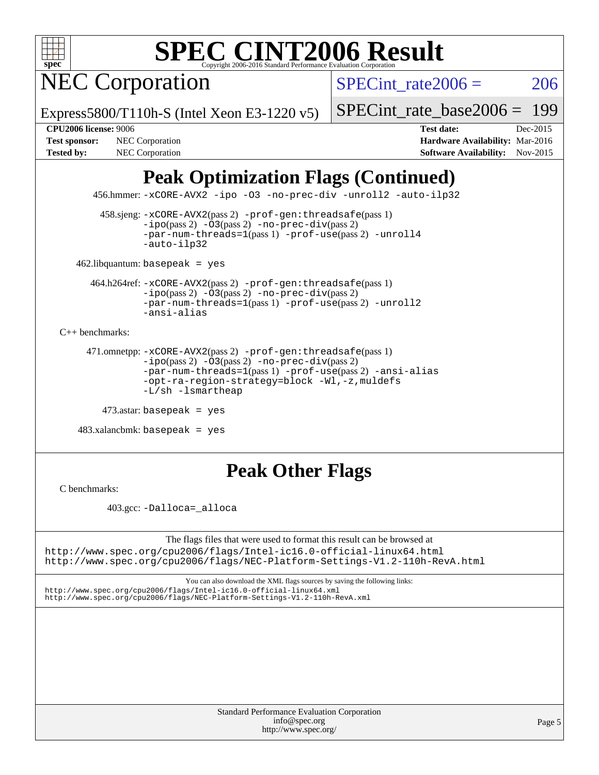

NEC Corporation

SPECint rate $2006 = 206$ 

Express5800/T110h-S (Intel Xeon E3-1220 v5)

[SPECint\\_rate\\_base2006 =](http://www.spec.org/auto/cpu2006/Docs/result-fields.html#SPECintratebase2006) 199

**[Test sponsor:](http://www.spec.org/auto/cpu2006/Docs/result-fields.html#Testsponsor)** NEC Corporation **NEC Corporation [Hardware Availability:](http://www.spec.org/auto/cpu2006/Docs/result-fields.html#HardwareAvailability)** Mar-2016

**[CPU2006 license:](http://www.spec.org/auto/cpu2006/Docs/result-fields.html#CPU2006license)** 9006 **[Test date:](http://www.spec.org/auto/cpu2006/Docs/result-fields.html#Testdate)** Dec-2015 [Tested by:](http://www.spec.org/auto/cpu2006/Docs/result-fields.html#Testedby) NEC Corporation **[Software Availability:](http://www.spec.org/auto/cpu2006/Docs/result-fields.html#SoftwareAvailability)** Nov-2015

### **[Peak Optimization Flags \(Continued\)](http://www.spec.org/auto/cpu2006/Docs/result-fields.html#PeakOptimizationFlags)**

456.hmmer: [-xCORE-AVX2](http://www.spec.org/cpu2006/results/res2016q1/cpu2006-20160125-38930.flags.html#user_peakCOPTIMIZE456_hmmer_f-xAVX2_5f5fc0cbe2c9f62c816d3e45806c70d7) [-ipo](http://www.spec.org/cpu2006/results/res2016q1/cpu2006-20160125-38930.flags.html#user_peakCOPTIMIZE456_hmmer_f-ipo) [-O3](http://www.spec.org/cpu2006/results/res2016q1/cpu2006-20160125-38930.flags.html#user_peakCOPTIMIZE456_hmmer_f-O3) [-no-prec-div](http://www.spec.org/cpu2006/results/res2016q1/cpu2006-20160125-38930.flags.html#user_peakCOPTIMIZE456_hmmer_f-no-prec-div) [-unroll2](http://www.spec.org/cpu2006/results/res2016q1/cpu2006-20160125-38930.flags.html#user_peakCOPTIMIZE456_hmmer_f-unroll_784dae83bebfb236979b41d2422d7ec2) [-auto-ilp32](http://www.spec.org/cpu2006/results/res2016q1/cpu2006-20160125-38930.flags.html#user_peakCOPTIMIZE456_hmmer_f-auto-ilp32)

 458.sjeng: [-xCORE-AVX2](http://www.spec.org/cpu2006/results/res2016q1/cpu2006-20160125-38930.flags.html#user_peakPASS2_CFLAGSPASS2_LDCFLAGS458_sjeng_f-xAVX2_5f5fc0cbe2c9f62c816d3e45806c70d7)(pass 2) [-prof-gen:threadsafe](http://www.spec.org/cpu2006/results/res2016q1/cpu2006-20160125-38930.flags.html#user_peakPASS1_CFLAGSPASS1_LDCFLAGS458_sjeng_prof_gen_21a26eb79f378b550acd7bec9fe4467a)(pass 1)  $-i\text{po}(pass 2) -03(pass 2) -no-prec-div(pass 2)$  $-i\text{po}(pass 2) -03(pass 2) -no-prec-div(pass 2)$  $-i\text{po}(pass 2) -03(pass 2) -no-prec-div(pass 2)$ [-par-num-threads=1](http://www.spec.org/cpu2006/results/res2016q1/cpu2006-20160125-38930.flags.html#user_peakPASS1_CFLAGSPASS1_LDCFLAGS458_sjeng_par_num_threads_786a6ff141b4e9e90432e998842df6c2)(pass 1) [-prof-use](http://www.spec.org/cpu2006/results/res2016q1/cpu2006-20160125-38930.flags.html#user_peakPASS2_CFLAGSPASS2_LDCFLAGS458_sjeng_prof_use_bccf7792157ff70d64e32fe3e1250b55)(pass 2) [-unroll4](http://www.spec.org/cpu2006/results/res2016q1/cpu2006-20160125-38930.flags.html#user_peakCOPTIMIZE458_sjeng_f-unroll_4e5e4ed65b7fd20bdcd365bec371b81f) [-auto-ilp32](http://www.spec.org/cpu2006/results/res2016q1/cpu2006-20160125-38930.flags.html#user_peakCOPTIMIZE458_sjeng_f-auto-ilp32)

462.libquantum: basepeak = yes

 464.h264ref: [-xCORE-AVX2](http://www.spec.org/cpu2006/results/res2016q1/cpu2006-20160125-38930.flags.html#user_peakPASS2_CFLAGSPASS2_LDCFLAGS464_h264ref_f-xAVX2_5f5fc0cbe2c9f62c816d3e45806c70d7)(pass 2) [-prof-gen:threadsafe](http://www.spec.org/cpu2006/results/res2016q1/cpu2006-20160125-38930.flags.html#user_peakPASS1_CFLAGSPASS1_LDCFLAGS464_h264ref_prof_gen_21a26eb79f378b550acd7bec9fe4467a)(pass 1)  $-i\text{po}(pass 2) -\overline{O}3(pass 2)$  [-no-prec-div](http://www.spec.org/cpu2006/results/res2016q1/cpu2006-20160125-38930.flags.html#user_peakPASS2_CFLAGSPASS2_LDCFLAGS464_h264ref_f-no-prec-div)(pass 2) [-par-num-threads=1](http://www.spec.org/cpu2006/results/res2016q1/cpu2006-20160125-38930.flags.html#user_peakPASS1_CFLAGSPASS1_LDCFLAGS464_h264ref_par_num_threads_786a6ff141b4e9e90432e998842df6c2)(pass 1) [-prof-use](http://www.spec.org/cpu2006/results/res2016q1/cpu2006-20160125-38930.flags.html#user_peakPASS2_CFLAGSPASS2_LDCFLAGS464_h264ref_prof_use_bccf7792157ff70d64e32fe3e1250b55)(pass 2) [-unroll2](http://www.spec.org/cpu2006/results/res2016q1/cpu2006-20160125-38930.flags.html#user_peakCOPTIMIZE464_h264ref_f-unroll_784dae83bebfb236979b41d2422d7ec2) [-ansi-alias](http://www.spec.org/cpu2006/results/res2016q1/cpu2006-20160125-38930.flags.html#user_peakCOPTIMIZE464_h264ref_f-ansi-alias)

[C++ benchmarks:](http://www.spec.org/auto/cpu2006/Docs/result-fields.html#CXXbenchmarks)

```
 471.omnetpp: -xCORE-AVX2(pass 2) -prof-gen:threadsafe(pass 1)
-ipo(pass 2) -O3(pass 2) -no-prec-div(pass 2)
-par-num-threads=1(pass 1) -prof-use(pass 2) -ansi-alias
-opt-ra-region-strategy=block -Wl,-z,muldefs
-L/sh -lsmartheap
```

```
 473.astar: basepeak = yes
```
 $483.xalanchmk: basepeak = yes$ 

### **[Peak Other Flags](http://www.spec.org/auto/cpu2006/Docs/result-fields.html#PeakOtherFlags)**

[C benchmarks](http://www.spec.org/auto/cpu2006/Docs/result-fields.html#Cbenchmarks):

403.gcc: [-Dalloca=\\_alloca](http://www.spec.org/cpu2006/results/res2016q1/cpu2006-20160125-38930.flags.html#b403.gcc_peakEXTRA_CFLAGS_Dalloca_be3056838c12de2578596ca5467af7f3)

The flags files that were used to format this result can be browsed at <http://www.spec.org/cpu2006/flags/Intel-ic16.0-official-linux64.html> <http://www.spec.org/cpu2006/flags/NEC-Platform-Settings-V1.2-110h-RevA.html>

You can also download the XML flags sources by saving the following links:

<http://www.spec.org/cpu2006/flags/Intel-ic16.0-official-linux64.xml> <http://www.spec.org/cpu2006/flags/NEC-Platform-Settings-V1.2-110h-RevA.xml>